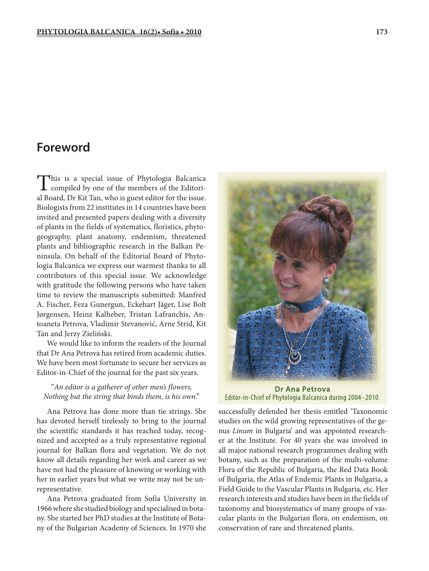## **Foreword**

This is a special issue of Phytologia Balcanica compiled by one of the members of the Editorial Board, Dr Kit Tan, who is guest editor for the issue. Biologists from 22 institutes in 14 countries have been invited and presented papers dealing with a diversity of plants in the fields of systematics, floristics, phytogeography, plant anatomy, endemism, threatened plants and bibliographic research in the Balkan Peninsula. On behalf of the Editorial Board of Phytologia Balcanica we express our warmest thanks to all contributors of this special issue. We acknowledge with gratitude the following persons who have taken time to review the manuscripts submitted: Manfred A. Fischer, Feza Gunergun, Eckehart Jäger, Lise Bolt Jørgensen, Heinz Kalheber, Tristan Lafranchis, Antoaneta Petrova, Vladimir Stevanović, Arne Strid, Kit Tan and Jerzy Zieliński.

We would like to inform the readers of the Journal that Dr Ana Petrova has retired from academic duties. We have been most fortunate to secure her services as Editor-in-Chief of the journal for the past six years.

## "*An editor is a gatherer of other men's flowers, Nothing but the string that binds them, is his own*."

Ana Petrova has done more than tie strings. She has devoted herself tirelessly to bring to the journal the scientific standards it has reached today, recognized and accepted as a truly representative regional journal for Balkan flora and vegetation. We do not know all details regarding her work and career as we have not had the pleasure of knowing or working with her in earlier years but what we write may not be unrepresentative.

Ana Petrova graduated from Sofia University in 1966 where she studied biology and specialised in botany. She started her PhD studies at the Institute of Botany of the Bulgarian Academy of Sciences. In 1970 she



**Dr Ana Petrova** Editor-in-Chief of Phytologia Balcanica during 2004-2010.

successfully defended her thesis entitled 'Taxonomic studies on the wild growing representatives of the genus *Linum* in Bulgaria' and was appointed researcher at the Institute. For 40 years she was involved in all major national research programmes dealing with botany, such as the preparation of the multi-volume Flora of the Republic of Bulgaria, the Red Data Book of Bulgaria, the Atlas of Endemic Plants in Bulgaria, a Field Guide to the Vascular Plants in Bulgaria, etc. Her research interests and studies have been in the fields of taxonomy and biosystematics of many groups of vascular plants in the Bulgarian flora, on endemism, on conservation of rare and threatened plants.